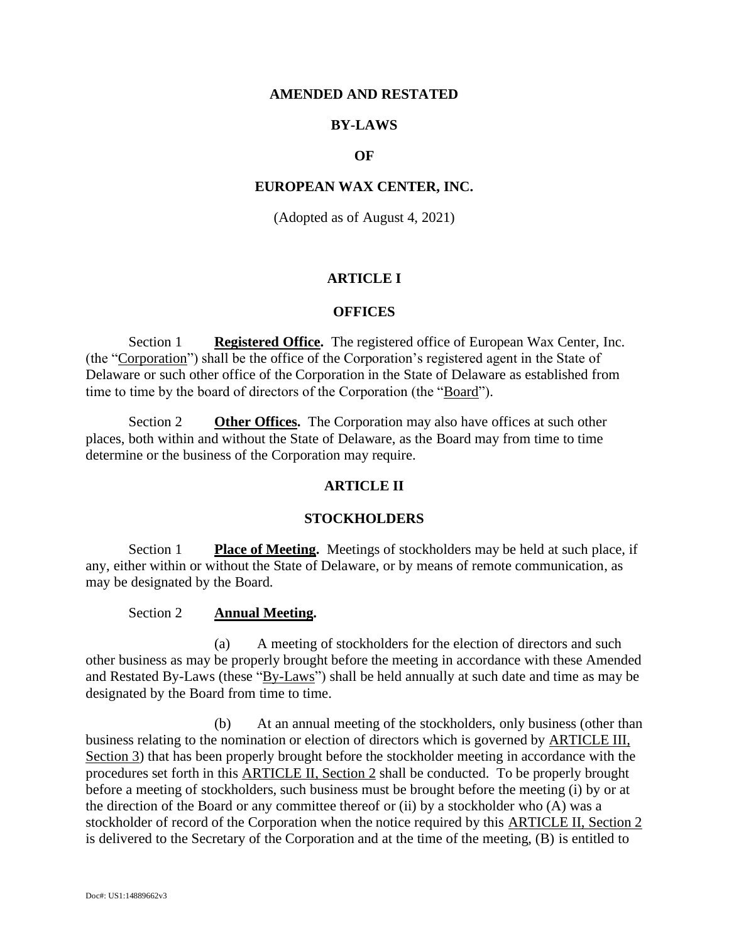### **AMENDED AND RESTATED**

# **BY-LAWS**

### **OF**

#### **EUROPEAN WAX CENTER, INC.**

(Adopted as of August 4, 2021)

### **ARTICLE I**

#### **OFFICES**

Section 1 **Registered Office.** The registered office of European Wax Center, Inc. (the "Corporation") shall be the office of the Corporation's registered agent in the State of Delaware or such other office of the Corporation in the State of Delaware as established from time to time by the board of directors of the Corporation (the "Board").

Section 2 **Other Offices.** The Corporation may also have offices at such other places, both within and without the State of Delaware, as the Board may from time to time determine or the business of the Corporation may require.

# **ARTICLE II**

#### **STOCKHOLDERS**

Section 1 **Place of Meeting.** Meetings of stockholders may be held at such place, if any, either within or without the State of Delaware, or by means of remote communication, as may be designated by the Board.

#### Section 2 **Annual Meeting.**

<span id="page-0-0"></span>(a) A meeting of stockholders for the election of directors and such other business as may be properly brought before the meeting in accordance with these Amended and Restated By-Laws (these "By-Laws") shall be held annually at such date and time as may be designated by the Board from time to time.

<span id="page-0-1"></span>(b) At an annual meeting of the stockholders, only business (other than business relating to the nomination or election of directors which is governed by [ARTICLE III,](#page-9-0)  [Section 3\)](#page-9-0) that has been properly brought before the stockholder meeting in accordance with the procedures set forth in this [ARTICLE II, Section 2](#page-0-0) shall be conducted. To be properly brought before a meeting of stockholders, such business must be brought before the meeting (i) by or at the direction of the Board or any committee thereof or (ii) by a stockholder who (A) was a stockholder of record of the Corporation when the notice required by this [ARTICLE II, Section 2](#page-0-0) is delivered to the Secretary of the Corporation and at the time of the meeting, (B) is entitled to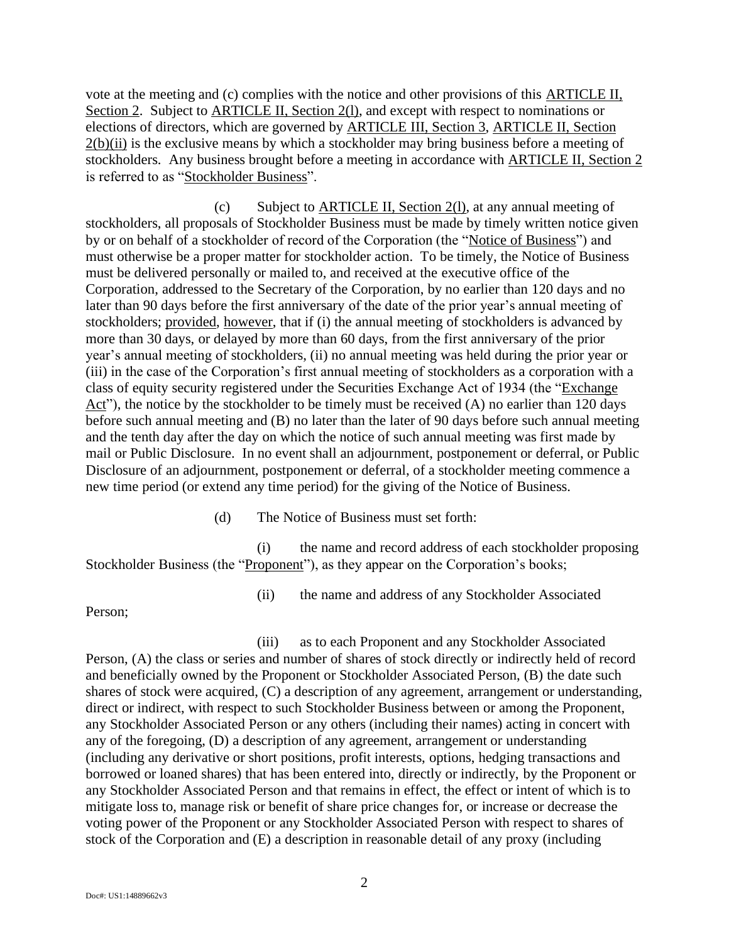vote at the meeting and (c) complies with the notice and other provisions of this [ARTICLE II,](#page-0-0)  [Section 2.](#page-0-0) Subject to [ARTICLE II, Section 2](#page-0-0)(1), and except with respect to nominations or elections of directors, which are governed by [ARTICLE III, Section 3,](#page-9-0) [ARTICLE II, Section](#page-0-0)   $2(b)(ii)$  $2(b)(ii)$  $2(b)(ii)$  is the exclusive means by which a stockholder may bring business before a meeting of stockholders. Any business brought before a meeting in accordance with [ARTICLE II, Section 2](#page-0-0) is referred to as "Stockholder Business".

(c) Subject to [ARTICLE II, Section 2](#page-0-0)[\(l\),](#page-3-0) at any annual meeting of stockholders, all proposals of Stockholder Business must be made by timely written notice given by or on behalf of a stockholder of record of the Corporation (the "Notice of Business") and must otherwise be a proper matter for stockholder action. To be timely, the Notice of Business must be delivered personally or mailed to, and received at the executive office of the Corporation, addressed to the Secretary of the Corporation, by no earlier than 120 days and no later than 90 days before the first anniversary of the date of the prior year's annual meeting of stockholders; provided, however, that if (i) the annual meeting of stockholders is advanced by more than 30 days, or delayed by more than 60 days, from the first anniversary of the prior year's annual meeting of stockholders, (ii) no annual meeting was held during the prior year or (iii) in the case of the Corporation's first annual meeting of stockholders as a corporation with a class of equity security registered under the Securities Exchange Act of 1934 (the "Exchange Act"), the notice by the stockholder to be timely must be received (A) no earlier than 120 days before such annual meeting and (B) no later than the later of 90 days before such annual meeting and the tenth day after the day on which the notice of such annual meeting was first made by mail or Public Disclosure. In no event shall an adjournment, postponement or deferral, or Public Disclosure of an adjournment, postponement or deferral, of a stockholder meeting commence a new time period (or extend any time period) for the giving of the Notice of Business.

(d) The Notice of Business must set forth:

<span id="page-1-1"></span><span id="page-1-0"></span>(i) the name and record address of each stockholder proposing Stockholder Business (the "Proponent"), as they appear on the Corporation's books;

(ii) the name and address of any Stockholder Associated

Person;

<span id="page-1-2"></span>(iii) as to each Proponent and any Stockholder Associated Person, (A) the class or series and number of shares of stock directly or indirectly held of record and beneficially owned by the Proponent or Stockholder Associated Person, (B) the date such shares of stock were acquired, (C) a description of any agreement, arrangement or understanding, direct or indirect, with respect to such Stockholder Business between or among the Proponent, any Stockholder Associated Person or any others (including their names) acting in concert with any of the foregoing, (D) a description of any agreement, arrangement or understanding (including any derivative or short positions, profit interests, options, hedging transactions and borrowed or loaned shares) that has been entered into, directly or indirectly, by the Proponent or any Stockholder Associated Person and that remains in effect, the effect or intent of which is to mitigate loss to, manage risk or benefit of share price changes for, or increase or decrease the voting power of the Proponent or any Stockholder Associated Person with respect to shares of stock of the Corporation and (E) a description in reasonable detail of any proxy (including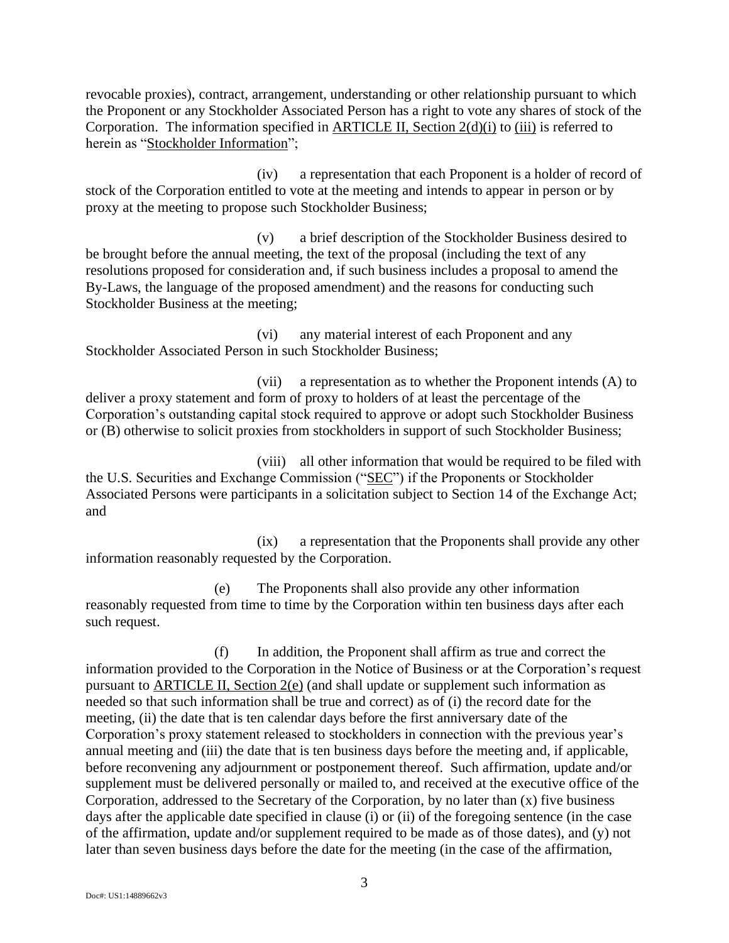revocable proxies), contract, arrangement, understanding or other relationship pursuant to which the Proponent or any Stockholder Associated Person has a right to vote any shares of stock of the Corporation. The information specified in [ARTICLE II, Section 2](#page-0-0)[\(d\)](#page-1-0)[\(i\)](#page-1-1) to [\(iii\)](#page-1-2) is referred to herein as "Stockholder Information";

(iv) a representation that each Proponent is a holder of record of stock of the Corporation entitled to vote at the meeting and intends to appear in person or by proxy at the meeting to propose such Stockholder Business;

(v) a brief description of the Stockholder Business desired to be brought before the annual meeting, the text of the proposal (including the text of any resolutions proposed for consideration and, if such business includes a proposal to amend the By-Laws, the language of the proposed amendment) and the reasons for conducting such Stockholder Business at the meeting;

(vi) any material interest of each Proponent and any Stockholder Associated Person in such Stockholder Business;

(vii) a representation as to whether the Proponent intends (A) to deliver a proxy statement and form of proxy to holders of at least the percentage of the Corporation's outstanding capital stock required to approve or adopt such Stockholder Business or (B) otherwise to solicit proxies from stockholders in support of such Stockholder Business;

(viii) all other information that would be required to be filed with the U.S. Securities and Exchange Commission ("SEC") if the Proponents or Stockholder Associated Persons were participants in a solicitation subject to Section 14 of the Exchange Act; and

(ix) a representation that the Proponents shall provide any other information reasonably requested by the Corporation.

<span id="page-2-0"></span>(e) The Proponents shall also provide any other information reasonably requested from time to time by the Corporation within ten business days after each such request.

(f) In addition, the Proponent shall affirm as true and correct the information provided to the Corporation in the Notice of Business or at the Corporation's request pursuant to [ARTICLE II, Section 2](#page-0-0)[\(e\)](#page-2-0) (and shall update or supplement such information as needed so that such information shall be true and correct) as of (i) the record date for the meeting, (ii) the date that is ten calendar days before the first anniversary date of the Corporation's proxy statement released to stockholders in connection with the previous year's annual meeting and (iii) the date that is ten business days before the meeting and, if applicable, before reconvening any adjournment or postponement thereof. Such affirmation, update and/or supplement must be delivered personally or mailed to, and received at the executive office of the Corporation, addressed to the Secretary of the Corporation, by no later than (x) five business days after the applicable date specified in clause (i) or (ii) of the foregoing sentence (in the case of the affirmation, update and/or supplement required to be made as of those dates), and (y) not later than seven business days before the date for the meeting (in the case of the affirmation,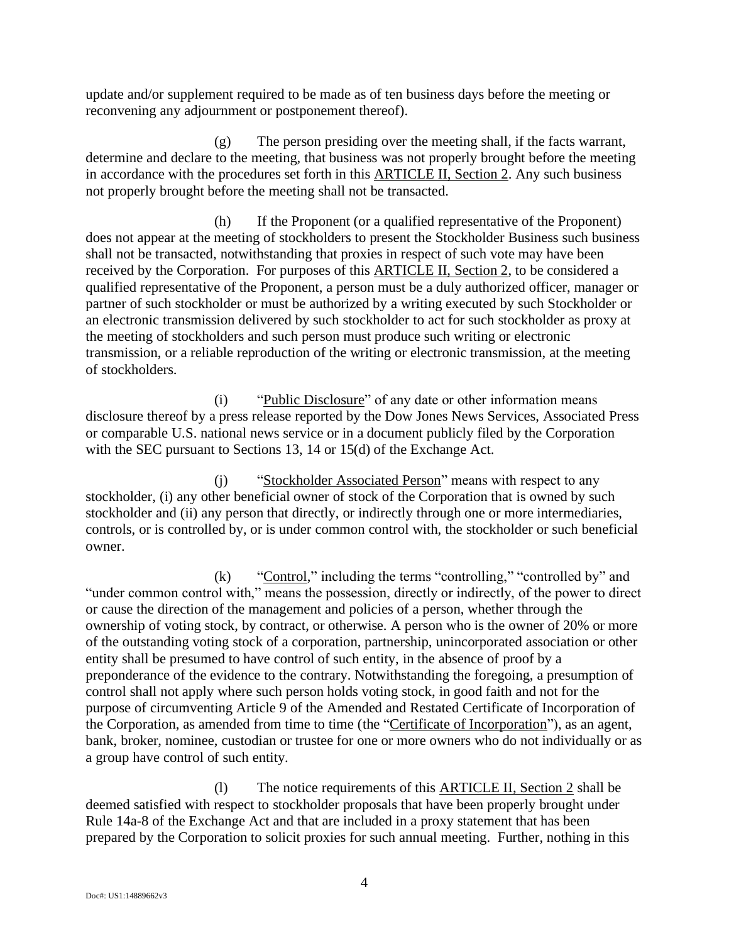update and/or supplement required to be made as of ten business days before the meeting or reconvening any adjournment or postponement thereof).

(g) The person presiding over the meeting shall, if the facts warrant, determine and declare to the meeting, that business was not properly brought before the meeting in accordance with the procedures set forth in this [ARTICLE II, Section 2.](#page-0-0) Any such business not properly brought before the meeting shall not be transacted.

(h) If the Proponent (or a qualified representative of the Proponent) does not appear at the meeting of stockholders to present the Stockholder Business such business shall not be transacted, notwithstanding that proxies in respect of such vote may have been received by the Corporation. For purposes of this [ARTICLE II, Section 2,](#page-0-0) to be considered a qualified representative of the Proponent, a person must be a duly authorized officer, manager or partner of such stockholder or must be authorized by a writing executed by such Stockholder or an electronic transmission delivered by such stockholder to act for such stockholder as proxy at the meeting of stockholders and such person must produce such writing or electronic transmission, or a reliable reproduction of the writing or electronic transmission, at the meeting of stockholders.

(i) "Public Disclosure" of any date or other information means disclosure thereof by a press release reported by the Dow Jones News Services, Associated Press or comparable U.S. national news service or in a document publicly filed by the Corporation with the SEC pursuant to Sections 13, 14 or 15(d) of the Exchange Act.

(j) "Stockholder Associated Person" means with respect to any stockholder, (i) any other beneficial owner of stock of the Corporation that is owned by such stockholder and (ii) any person that directly, or indirectly through one or more intermediaries, controls, or is controlled by, or is under common control with, the stockholder or such beneficial owner.

(k) "Control," including the terms "controlling," "controlled by" and "under common control with," means the possession, directly or indirectly, of the power to direct or cause the direction of the management and policies of a person, whether through the ownership of voting stock, by contract, or otherwise. A person who is the owner of 20% or more of the outstanding voting stock of a corporation, partnership, unincorporated association or other entity shall be presumed to have control of such entity, in the absence of proof by a preponderance of the evidence to the contrary. Notwithstanding the foregoing, a presumption of control shall not apply where such person holds voting stock, in good faith and not for the purpose of circumventing Article 9 of the Amended and Restated Certificate of Incorporation of the Corporation, as amended from time to time (the "Certificate of Incorporation"), as an agent, bank, broker, nominee, custodian or trustee for one or more owners who do not individually or as a group have control of such entity.

<span id="page-3-0"></span>(l) The notice requirements of this [ARTICLE II, Section 2](#page-0-0) shall be deemed satisfied with respect to stockholder proposals that have been properly brought under Rule 14a-8 of the Exchange Act and that are included in a proxy statement that has been prepared by the Corporation to solicit proxies for such annual meeting. Further, nothing in this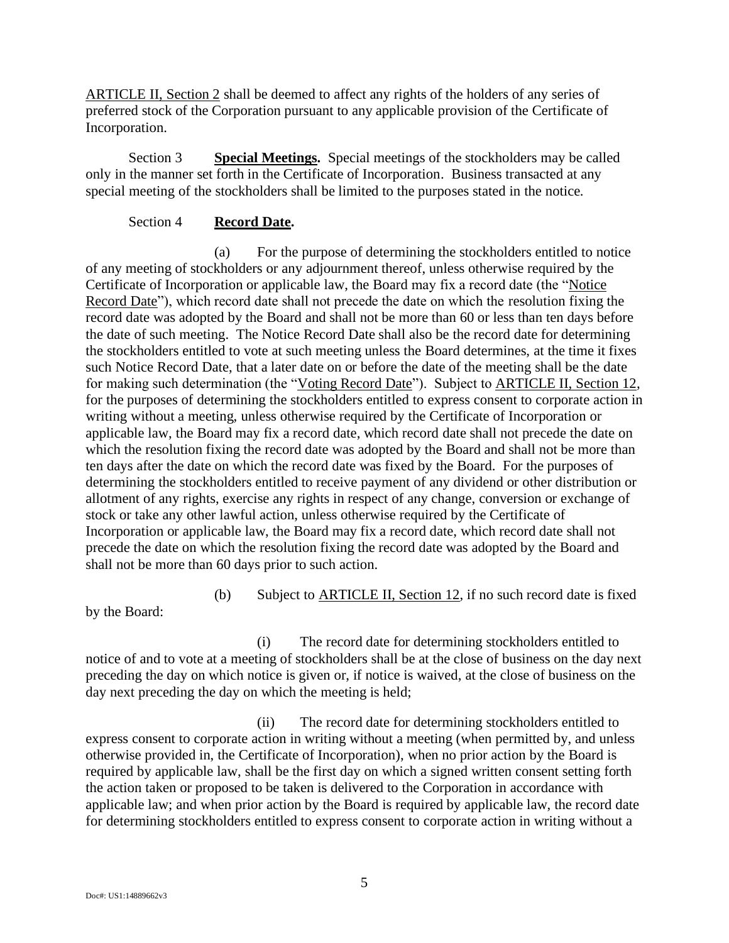[ARTICLE II, Section 2](#page-0-0) shall be deemed to affect any rights of the holders of any series of preferred stock of the Corporation pursuant to any applicable provision of the Certificate of Incorporation.

Section 3 **Special Meetings.** Special meetings of the stockholders may be called only in the manner set forth in the Certificate of Incorporation. Business transacted at any special meeting of the stockholders shall be limited to the purposes stated in the notice.

## Section 4 **Record Date.**

<span id="page-4-0"></span>(a) For the purpose of determining the stockholders entitled to notice of any meeting of stockholders or any adjournment thereof, unless otherwise required by the Certificate of Incorporation or applicable law, the Board may fix a record date (the "Notice Record Date"), which record date shall not precede the date on which the resolution fixing the record date was adopted by the Board and shall not be more than 60 or less than ten days before the date of such meeting. The Notice Record Date shall also be the record date for determining the stockholders entitled to vote at such meeting unless the Board determines, at the time it fixes such Notice Record Date, that a later date on or before the date of the meeting shall be the date for making such determination (the "Voting Record Date"). Subject to ARTICLE II, Section 12, for the purposes of determining the stockholders entitled to express consent to corporate action in writing without a meeting, unless otherwise required by the Certificate of Incorporation or applicable law, the Board may fix a record date, which record date shall not precede the date on which the resolution fixing the record date was adopted by the Board and shall not be more than ten days after the date on which the record date was fixed by the Board. For the purposes of determining the stockholders entitled to receive payment of any dividend or other distribution or allotment of any rights, exercise any rights in respect of any change, conversion or exchange of stock or take any other lawful action, unless otherwise required by the Certificate of Incorporation or applicable law, the Board may fix a record date, which record date shall not precede the date on which the resolution fixing the record date was adopted by the Board and shall not be more than 60 days prior to such action.

(b) Subject to ARTICLE II, Section 12, if no such record date is fixed

by the Board:

(i) The record date for determining stockholders entitled to notice of and to vote at a meeting of stockholders shall be at the close of business on the day next preceding the day on which notice is given or, if notice is waived, at the close of business on the day next preceding the day on which the meeting is held;

(ii) The record date for determining stockholders entitled to express consent to corporate action in writing without a meeting (when permitted by, and unless otherwise provided in, the Certificate of Incorporation), when no prior action by the Board is required by applicable law, shall be the first day on which a signed written consent setting forth the action taken or proposed to be taken is delivered to the Corporation in accordance with applicable law; and when prior action by the Board is required by applicable law, the record date for determining stockholders entitled to express consent to corporate action in writing without a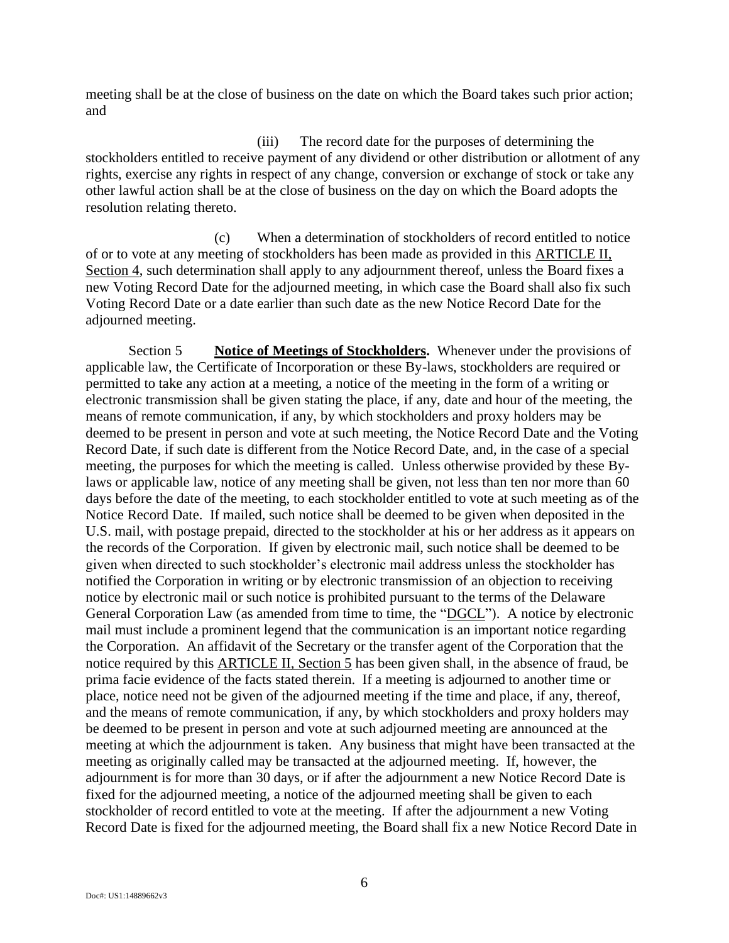meeting shall be at the close of business on the date on which the Board takes such prior action; and

(iii) The record date for the purposes of determining the stockholders entitled to receive payment of any dividend or other distribution or allotment of any rights, exercise any rights in respect of any change, conversion or exchange of stock or take any other lawful action shall be at the close of business on the day on which the Board adopts the resolution relating thereto.

(c) When a determination of stockholders of record entitled to notice of or to vote at any meeting of stockholders has been made as provided in this [ARTICLE II,](#page-4-0)  [Section 4,](#page-4-0) such determination shall apply to any adjournment thereof, unless the Board fixes a new Voting Record Date for the adjourned meeting, in which case the Board shall also fix such Voting Record Date or a date earlier than such date as the new Notice Record Date for the adjourned meeting.

Section 5 **Notice of Meetings of Stockholders.** Whenever under the provisions of applicable law, the Certificate of Incorporation or these By-laws, stockholders are required or permitted to take any action at a meeting, a notice of the meeting in the form of a writing or electronic transmission shall be given stating the place, if any, date and hour of the meeting, the means of remote communication, if any, by which stockholders and proxy holders may be deemed to be present in person and vote at such meeting, the Notice Record Date and the Voting Record Date, if such date is different from the Notice Record Date, and, in the case of a special meeting, the purposes for which the meeting is called. Unless otherwise provided by these Bylaws or applicable law, notice of any meeting shall be given, not less than ten nor more than 60 days before the date of the meeting, to each stockholder entitled to vote at such meeting as of the Notice Record Date. If mailed, such notice shall be deemed to be given when deposited in the U.S. mail, with postage prepaid, directed to the stockholder at his or her address as it appears on the records of the Corporation. If given by electronic mail, such notice shall be deemed to be given when directed to such stockholder's electronic mail address unless the stockholder has notified the Corporation in writing or by electronic transmission of an objection to receiving notice by electronic mail or such notice is prohibited pursuant to the terms of the Delaware General Corporation Law (as amended from time to time, the "DGCL"). A notice by electronic mail must include a prominent legend that the communication is an important notice regarding the Corporation. An affidavit of the Secretary or the transfer agent of the Corporation that the notice required by this ARTICLE II, Section 5 has been given shall, in the absence of fraud, be prima facie evidence of the facts stated therein. If a meeting is adjourned to another time or place, notice need not be given of the adjourned meeting if the time and place, if any, thereof, and the means of remote communication, if any, by which stockholders and proxy holders may be deemed to be present in person and vote at such adjourned meeting are announced at the meeting at which the adjournment is taken. Any business that might have been transacted at the meeting as originally called may be transacted at the adjourned meeting. If, however, the adjournment is for more than 30 days, or if after the adjournment a new Notice Record Date is fixed for the adjourned meeting, a notice of the adjourned meeting shall be given to each stockholder of record entitled to vote at the meeting. If after the adjournment a new Voting Record Date is fixed for the adjourned meeting, the Board shall fix a new Notice Record Date in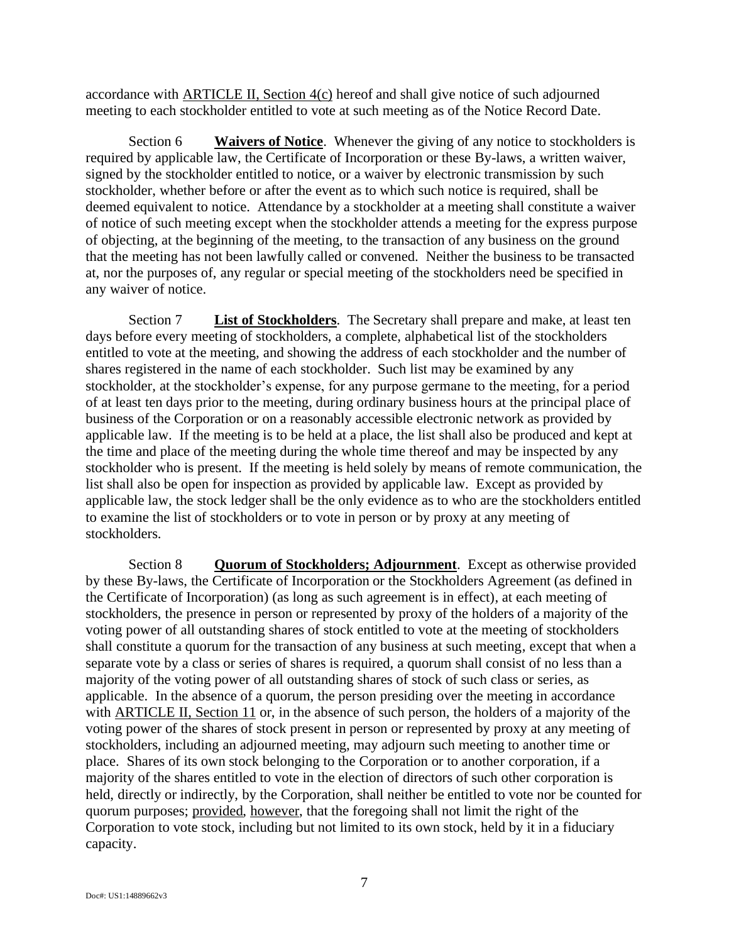accordance with ARTICLE II, Section 4(c) hereof and shall give notice of such adjourned meeting to each stockholder entitled to vote at such meeting as of the Notice Record Date.

Section 6 **Waivers of Notice**. Whenever the giving of any notice to stockholders is required by applicable law, the Certificate of Incorporation or these By-laws, a written waiver, signed by the stockholder entitled to notice, or a waiver by electronic transmission by such stockholder, whether before or after the event as to which such notice is required, shall be deemed equivalent to notice. Attendance by a stockholder at a meeting shall constitute a waiver of notice of such meeting except when the stockholder attends a meeting for the express purpose of objecting, at the beginning of the meeting, to the transaction of any business on the ground that the meeting has not been lawfully called or convened. Neither the business to be transacted at, nor the purposes of, any regular or special meeting of the stockholders need be specified in any waiver of notice.

Section 7 **List of Stockholders**. The Secretary shall prepare and make, at least ten days before every meeting of stockholders, a complete, alphabetical list of the stockholders entitled to vote at the meeting, and showing the address of each stockholder and the number of shares registered in the name of each stockholder. Such list may be examined by any stockholder, at the stockholder's expense, for any purpose germane to the meeting, for a period of at least ten days prior to the meeting, during ordinary business hours at the principal place of business of the Corporation or on a reasonably accessible electronic network as provided by applicable law. If the meeting is to be held at a place, the list shall also be produced and kept at the time and place of the meeting during the whole time thereof and may be inspected by any stockholder who is present. If the meeting is held solely by means of remote communication, the list shall also be open for inspection as provided by applicable law. Except as provided by applicable law, the stock ledger shall be the only evidence as to who are the stockholders entitled to examine the list of stockholders or to vote in person or by proxy at any meeting of stockholders.

Section 8 **Quorum of Stockholders; Adjournment**. Except as otherwise provided by these By-laws, the Certificate of Incorporation or the Stockholders Agreement (as defined in the Certificate of Incorporation) (as long as such agreement is in effect), at each meeting of stockholders, the presence in person or represented by proxy of the holders of a majority of the voting power of all outstanding shares of stock entitled to vote at the meeting of stockholders shall constitute a quorum for the transaction of any business at such meeting, except that when a separate vote by a class or series of shares is required, a quorum shall consist of no less than a majority of the voting power of all outstanding shares of stock of such class or series, as applicable. In the absence of a quorum, the person presiding over the meeting in accordance with ARTICLE II, Section 11 or, in the absence of such person, the holders of a majority of the voting power of the shares of stock present in person or represented by proxy at any meeting of stockholders, including an adjourned meeting, may adjourn such meeting to another time or place. Shares of its own stock belonging to the Corporation or to another corporation, if a majority of the shares entitled to vote in the election of directors of such other corporation is held, directly or indirectly, by the Corporation, shall neither be entitled to vote nor be counted for quorum purposes; provided, however, that the foregoing shall not limit the right of the Corporation to vote stock, including but not limited to its own stock, held by it in a fiduciary capacity.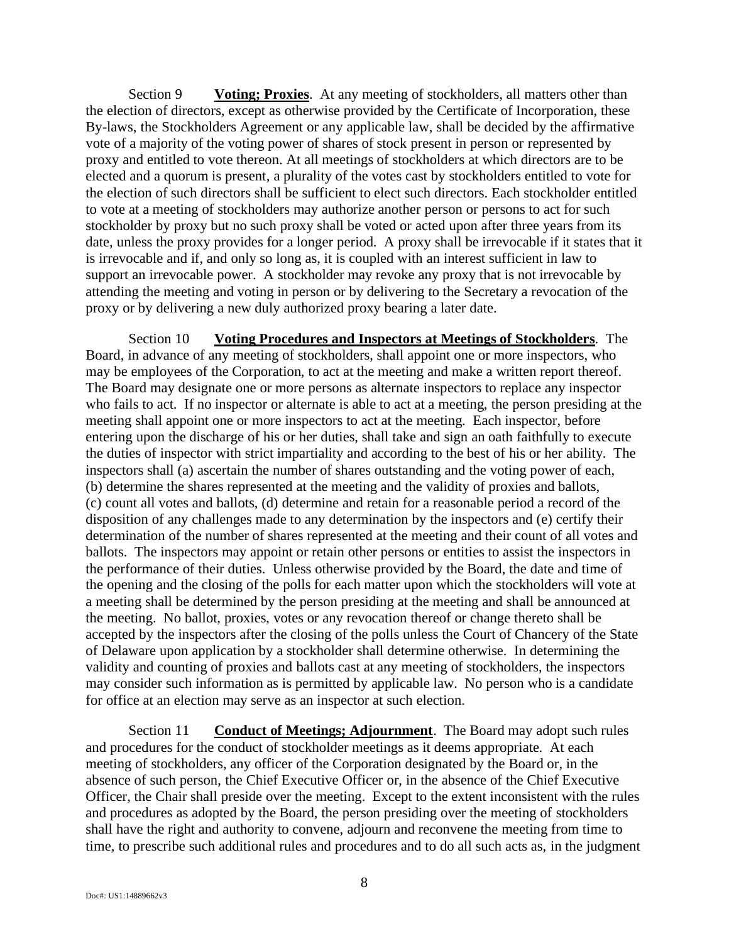Section 9 **Voting; Proxies**. At any meeting of stockholders, all matters other than the election of directors, except as otherwise provided by the Certificate of Incorporation, these By-laws, the Stockholders Agreement or any applicable law, shall be decided by the affirmative vote of a majority of the voting power of shares of stock present in person or represented by proxy and entitled to vote thereon. At all meetings of stockholders at which directors are to be elected and a quorum is present, a plurality of the votes cast by stockholders entitled to vote for the election of such directors shall be sufficient to elect such directors. Each stockholder entitled to vote at a meeting of stockholders may authorize another person or persons to act for such stockholder by proxy but no such proxy shall be voted or acted upon after three years from its date, unless the proxy provides for a longer period. A proxy shall be irrevocable if it states that it is irrevocable and if, and only so long as, it is coupled with an interest sufficient in law to support an irrevocable power. A stockholder may revoke any proxy that is not irrevocable by attending the meeting and voting in person or by delivering to the Secretary a revocation of the proxy or by delivering a new duly authorized proxy bearing a later date.

Section 10 **Voting Procedures and Inspectors at Meetings of Stockholders**. The Board, in advance of any meeting of stockholders, shall appoint one or more inspectors, who may be employees of the Corporation, to act at the meeting and make a written report thereof. The Board may designate one or more persons as alternate inspectors to replace any inspector who fails to act. If no inspector or alternate is able to act at a meeting, the person presiding at the meeting shall appoint one or more inspectors to act at the meeting. Each inspector, before entering upon the discharge of his or her duties, shall take and sign an oath faithfully to execute the duties of inspector with strict impartiality and according to the best of his or her ability. The inspectors shall (a) ascertain the number of shares outstanding and the voting power of each, (b) determine the shares represented at the meeting and the validity of proxies and ballots, (c) count all votes and ballots, (d) determine and retain for a reasonable period a record of the disposition of any challenges made to any determination by the inspectors and (e) certify their determination of the number of shares represented at the meeting and their count of all votes and ballots. The inspectors may appoint or retain other persons or entities to assist the inspectors in the performance of their duties. Unless otherwise provided by the Board, the date and time of the opening and the closing of the polls for each matter upon which the stockholders will vote at a meeting shall be determined by the person presiding at the meeting and shall be announced at the meeting. No ballot, proxies, votes or any revocation thereof or change thereto shall be accepted by the inspectors after the closing of the polls unless the Court of Chancery of the State of Delaware upon application by a stockholder shall determine otherwise. In determining the validity and counting of proxies and ballots cast at any meeting of stockholders, the inspectors may consider such information as is permitted by applicable law. No person who is a candidate for office at an election may serve as an inspector at such election.

Section 11 **Conduct of Meetings; Adjournment**. The Board may adopt such rules and procedures for the conduct of stockholder meetings as it deems appropriate. At each meeting of stockholders, any officer of the Corporation designated by the Board or, in the absence of such person, the Chief Executive Officer or, in the absence of the Chief Executive Officer, the Chair shall preside over the meeting. Except to the extent inconsistent with the rules and procedures as adopted by the Board, the person presiding over the meeting of stockholders shall have the right and authority to convene, adjourn and reconvene the meeting from time to time, to prescribe such additional rules and procedures and to do all such acts as, in the judgment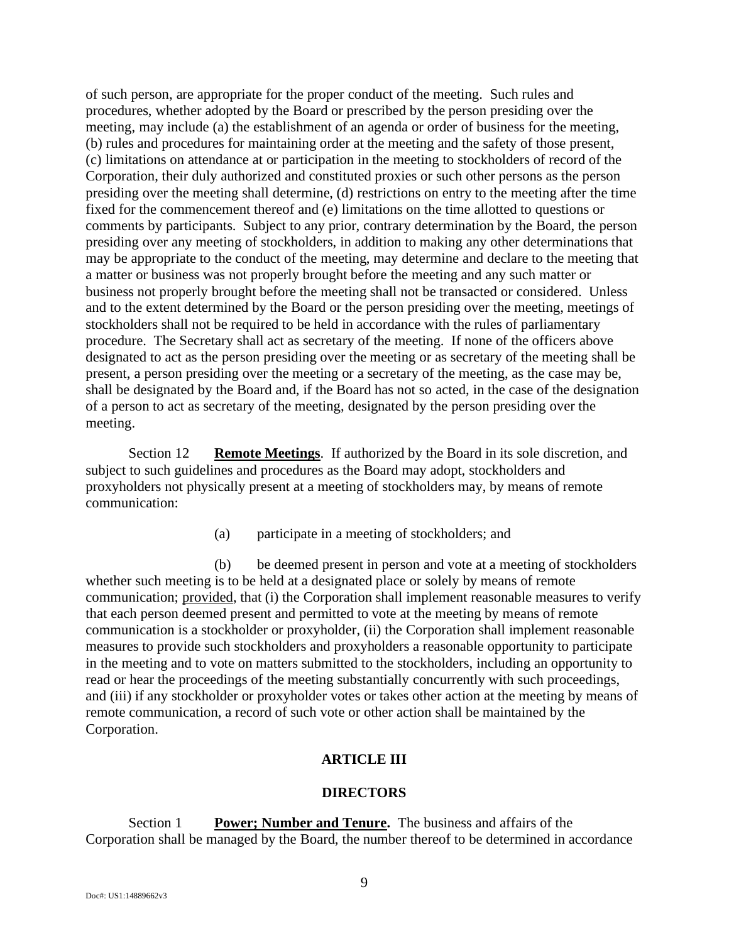of such person, are appropriate for the proper conduct of the meeting. Such rules and procedures, whether adopted by the Board or prescribed by the person presiding over the meeting, may include (a) the establishment of an agenda or order of business for the meeting, (b) rules and procedures for maintaining order at the meeting and the safety of those present, (c) limitations on attendance at or participation in the meeting to stockholders of record of the Corporation, their duly authorized and constituted proxies or such other persons as the person presiding over the meeting shall determine, (d) restrictions on entry to the meeting after the time fixed for the commencement thereof and (e) limitations on the time allotted to questions or comments by participants. Subject to any prior, contrary determination by the Board, the person presiding over any meeting of stockholders, in addition to making any other determinations that may be appropriate to the conduct of the meeting, may determine and declare to the meeting that a matter or business was not properly brought before the meeting and any such matter or business not properly brought before the meeting shall not be transacted or considered. Unless and to the extent determined by the Board or the person presiding over the meeting, meetings of stockholders shall not be required to be held in accordance with the rules of parliamentary procedure. The Secretary shall act as secretary of the meeting. If none of the officers above designated to act as the person presiding over the meeting or as secretary of the meeting shall be present, a person presiding over the meeting or a secretary of the meeting, as the case may be, shall be designated by the Board and, if the Board has not so acted, in the case of the designation of a person to act as secretary of the meeting, designated by the person presiding over the meeting.

Section 12 **Remote Meetings**. If authorized by the Board in its sole discretion, and subject to such guidelines and procedures as the Board may adopt, stockholders and proxyholders not physically present at a meeting of stockholders may, by means of remote communication:

(a) participate in a meeting of stockholders; and

(b) be deemed present in person and vote at a meeting of stockholders whether such meeting is to be held at a designated place or solely by means of remote communication; provided, that (i) the Corporation shall implement reasonable measures to verify that each person deemed present and permitted to vote at the meeting by means of remote communication is a stockholder or proxyholder, (ii) the Corporation shall implement reasonable measures to provide such stockholders and proxyholders a reasonable opportunity to participate in the meeting and to vote on matters submitted to the stockholders, including an opportunity to read or hear the proceedings of the meeting substantially concurrently with such proceedings, and (iii) if any stockholder or proxyholder votes or takes other action at the meeting by means of remote communication, a record of such vote or other action shall be maintained by the Corporation.

# **ARTICLE III**

#### **DIRECTORS**

<span id="page-8-0"></span>Section 1 **Power; Number and Tenure.** The business and affairs of the Corporation shall be managed by the Board, the number thereof to be determined in accordance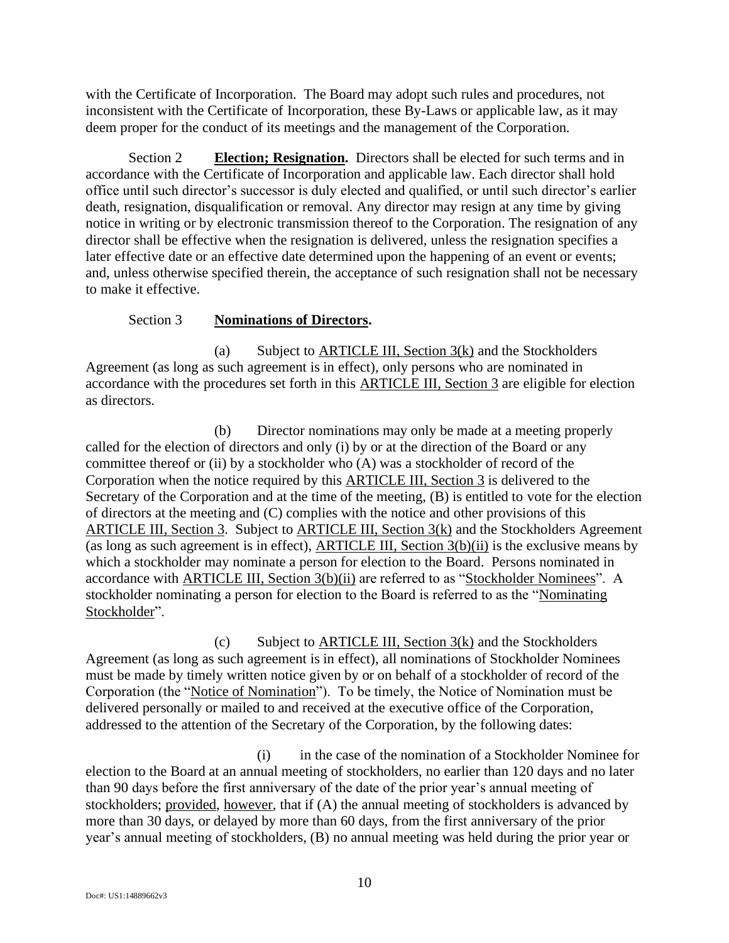with the Certificate of Incorporation. The Board may adopt such rules and procedures, not inconsistent with the Certificate of Incorporation, these By-Laws or applicable law, as it may deem proper for the conduct of its meetings and the management of the Corporation.

Section 2 **Election; Resignation.** Directors shall be elected for such terms and in accordance with the Certificate of Incorporation and applicable law. Each director shall hold office until such director's successor is duly elected and qualified, or until such director's earlier death, resignation, disqualification or removal. Any director may resign at any time by giving notice in writing or by electronic transmission thereof to the Corporation. The resignation of any director shall be effective when the resignation is delivered, unless the resignation specifies a later effective date or an effective date determined upon the happening of an event or events; and, unless otherwise specified therein, the acceptance of such resignation shall not be necessary to make it effective.

# Section 3 **Nominations of Directors.**

<span id="page-9-0"></span>(a) Subject to  $\triangle$ RTICLE III, Section 3[\(k\)](#page-12-0) and the Stockholders Agreement (as long as such agreement is in effect), only persons who are nominated in accordance with the procedures set forth in this [ARTICLE III, Section 3](#page-9-0) are eligible for election as directors.

<span id="page-9-1"></span>(b) Director nominations may only be made at a meeting properly called for the election of directors and only (i) by or at the direction of the Board or any committee thereof or (ii) by a stockholder who (A) was a stockholder of record of the Corporation when the notice required by this [ARTICLE III, Section 3](#page-9-0) is delivered to the Secretary of the Corporation and at the time of the meeting, (B) is entitled to vote for the election of directors at the meeting and (C) complies with the notice and other provisions of this [ARTICLE III, Section 3.](#page-9-0) Subject to [ARTICLE III, Section 3](#page-9-0)[\(k\)](#page-12-0) and the Stockholders Agreement (as long as such agreement is in effect), [ARTICLE III, Section 3](#page-9-0)[\(b\)\(](#page-9-1)ii) is the exclusive means by which a stockholder may nominate a person for election to the Board. Persons nominated in accordance with [ARTICLE III, Section 3](#page-9-0)[\(b\)\(](#page-9-1)ii) are referred to as "Stockholder Nominees". A stockholder nominating a person for election to the Board is referred to as the "Nominating Stockholder".

(c) Subject to [ARTICLE III, Section 3](#page-9-0)[\(k\)](#page-12-0) and the Stockholders Agreement (as long as such agreement is in effect), all nominations of Stockholder Nominees must be made by timely written notice given by or on behalf of a stockholder of record of the Corporation (the "Notice of Nomination"). To be timely, the Notice of Nomination must be delivered personally or mailed to and received at the executive office of the Corporation, addressed to the attention of the Secretary of the Corporation, by the following dates:

(i) in the case of the nomination of a Stockholder Nominee for election to the Board at an annual meeting of stockholders, no earlier than 120 days and no later than 90 days before the first anniversary of the date of the prior year's annual meeting of stockholders; provided, however, that if (A) the annual meeting of stockholders is advanced by more than 30 days, or delayed by more than 60 days, from the first anniversary of the prior year's annual meeting of stockholders, (B) no annual meeting was held during the prior year or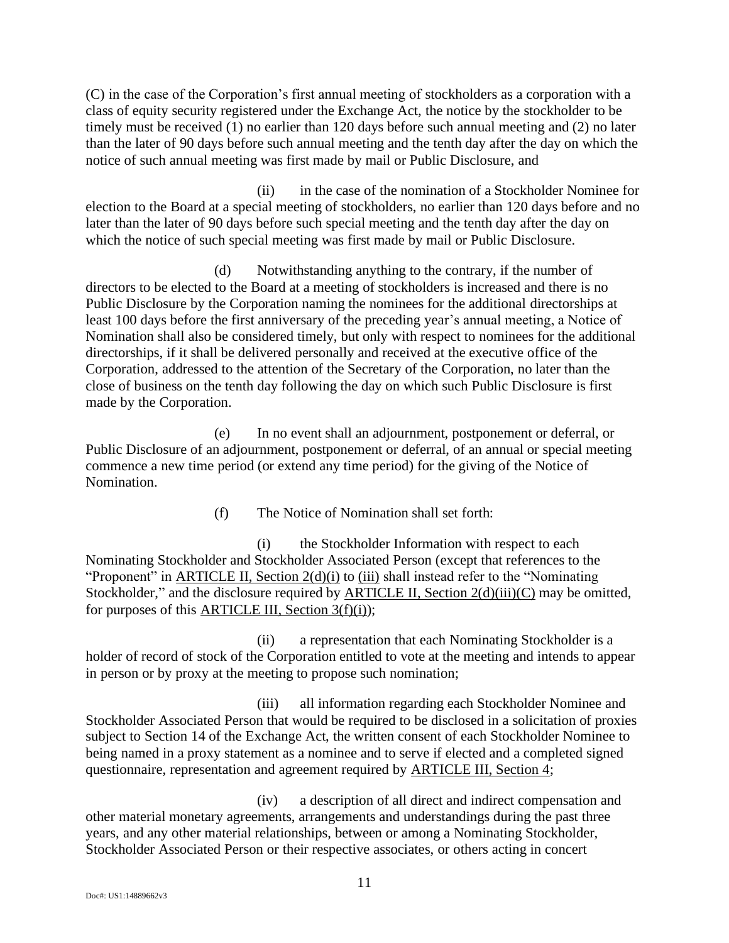(C) in the case of the Corporation's first annual meeting of stockholders as a corporation with a class of equity security registered under the Exchange Act, the notice by the stockholder to be timely must be received (1) no earlier than 120 days before such annual meeting and (2) no later than the later of 90 days before such annual meeting and the tenth day after the day on which the notice of such annual meeting was first made by mail or Public Disclosure, and

(ii) in the case of the nomination of a Stockholder Nominee for election to the Board at a special meeting of stockholders, no earlier than 120 days before and no later than the later of 90 days before such special meeting and the tenth day after the day on which the notice of such special meeting was first made by mail or Public Disclosure.

(d) Notwithstanding anything to the contrary, if the number of directors to be elected to the Board at a meeting of stockholders is increased and there is no Public Disclosure by the Corporation naming the nominees for the additional directorships at least 100 days before the first anniversary of the preceding year's annual meeting, a Notice of Nomination shall also be considered timely, but only with respect to nominees for the additional directorships, if it shall be delivered personally and received at the executive office of the Corporation, addressed to the attention of the Secretary of the Corporation, no later than the close of business on the tenth day following the day on which such Public Disclosure is first made by the Corporation.

(e) In no event shall an adjournment, postponement or deferral, or Public Disclosure of an adjournment, postponement or deferral, of an annual or special meeting commence a new time period (or extend any time period) for the giving of the Notice of Nomination.

(f) The Notice of Nomination shall set forth:

<span id="page-10-1"></span><span id="page-10-0"></span>(i) the Stockholder Information with respect to each Nominating Stockholder and Stockholder Associated Person (except that references to the "Proponent" in [ARTICLE II, Section 2](#page-0-0)[\(d\)](#page-1-0)[\(i\)](#page-1-1) to [\(iii\)](#page-1-2) shall instead refer to the "Nominating Stockholder," and the disclosure required by [ARTICLE II, Section 2](#page-0-0)[\(d\)\(](#page-1-0)iii)(C) may be omitted, for purposes of this ARTICLE III, Section  $3(f)(i)$  $3(f)(i)$  $3(f)(i)$ ;

(ii) a representation that each Nominating Stockholder is a holder of record of stock of the Corporation entitled to vote at the meeting and intends to appear in person or by proxy at the meeting to propose such nomination;

(iii) all information regarding each Stockholder Nominee and Stockholder Associated Person that would be required to be disclosed in a solicitation of proxies subject to Section 14 of the Exchange Act, the written consent of each Stockholder Nominee to being named in a proxy statement as a nominee and to serve if elected and a completed signed questionnaire, representation and agreement required by [ARTICLE III, Section 4;](#page-12-1)

(iv) a description of all direct and indirect compensation and other material monetary agreements, arrangements and understandings during the past three years, and any other material relationships, between or among a Nominating Stockholder, Stockholder Associated Person or their respective associates, or others acting in concert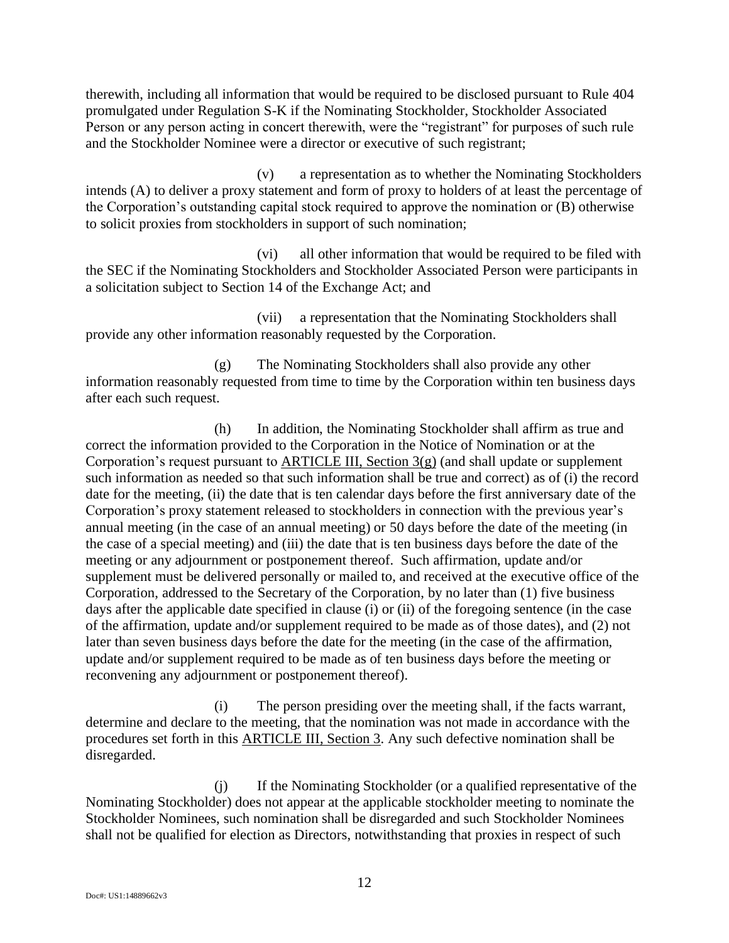therewith, including all information that would be required to be disclosed pursuant to Rule 404 promulgated under Regulation S-K if the Nominating Stockholder, Stockholder Associated Person or any person acting in concert therewith, were the "registrant" for purposes of such rule and the Stockholder Nominee were a director or executive of such registrant;

(v) a representation as to whether the Nominating Stockholders intends (A) to deliver a proxy statement and form of proxy to holders of at least the percentage of the Corporation's outstanding capital stock required to approve the nomination or (B) otherwise to solicit proxies from stockholders in support of such nomination;

(vi) all other information that would be required to be filed with the SEC if the Nominating Stockholders and Stockholder Associated Person were participants in a solicitation subject to Section 14 of the Exchange Act; and

(vii) a representation that the Nominating Stockholders shall provide any other information reasonably requested by the Corporation.

<span id="page-11-0"></span>(g) The Nominating Stockholders shall also provide any other information reasonably requested from time to time by the Corporation within ten business days after each such request.

(h) In addition, the Nominating Stockholder shall affirm as true and correct the information provided to the Corporation in the Notice of Nomination or at the Corporation's request pursuant to [ARTICLE III, Section 3](#page-9-0)[\(g\)](#page-11-0) (and shall update or supplement such information as needed so that such information shall be true and correct) as of (i) the record date for the meeting, (ii) the date that is ten calendar days before the first anniversary date of the Corporation's proxy statement released to stockholders in connection with the previous year's annual meeting (in the case of an annual meeting) or 50 days before the date of the meeting (in the case of a special meeting) and (iii) the date that is ten business days before the date of the meeting or any adjournment or postponement thereof. Such affirmation, update and/or supplement must be delivered personally or mailed to, and received at the executive office of the Corporation, addressed to the Secretary of the Corporation, by no later than (1) five business days after the applicable date specified in clause (i) or (ii) of the foregoing sentence (in the case of the affirmation, update and/or supplement required to be made as of those dates), and (2) not later than seven business days before the date for the meeting (in the case of the affirmation, update and/or supplement required to be made as of ten business days before the meeting or reconvening any adjournment or postponement thereof).

(i) The person presiding over the meeting shall, if the facts warrant, determine and declare to the meeting, that the nomination was not made in accordance with the procedures set forth in this [ARTICLE III, Section 3.](#page-9-0) Any such defective nomination shall be disregarded.

(j) If the Nominating Stockholder (or a qualified representative of the Nominating Stockholder) does not appear at the applicable stockholder meeting to nominate the Stockholder Nominees, such nomination shall be disregarded and such Stockholder Nominees shall not be qualified for election as Directors, notwithstanding that proxies in respect of such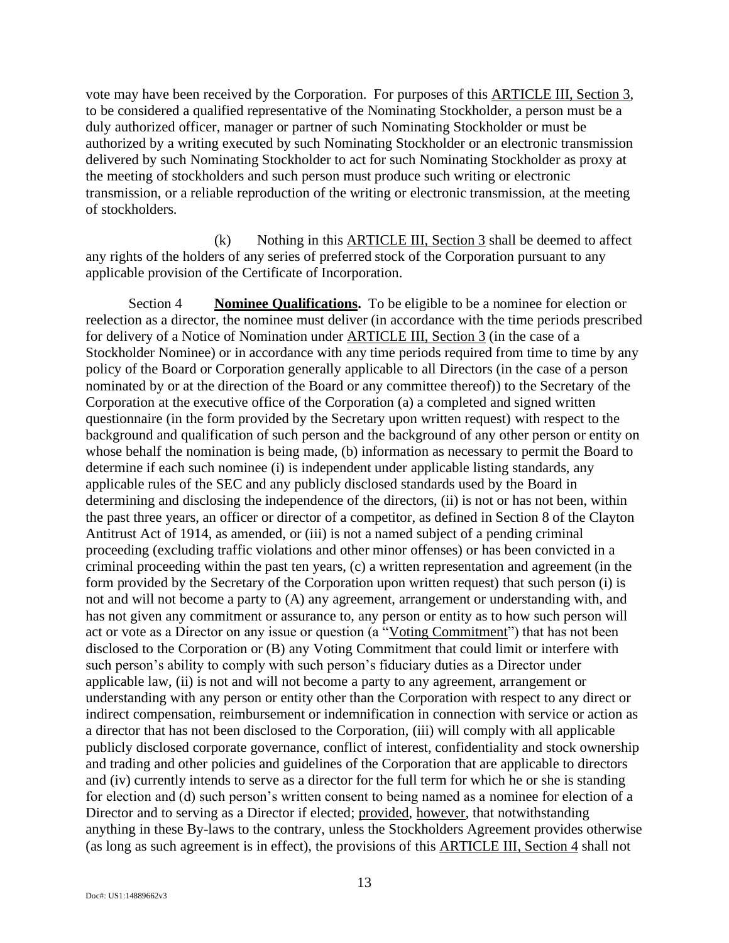vote may have been received by the Corporation. For purposes of this [ARTICLE III, Section 3,](#page-9-0) to be considered a qualified representative of the Nominating Stockholder, a person must be a duly authorized officer, manager or partner of such Nominating Stockholder or must be authorized by a writing executed by such Nominating Stockholder or an electronic transmission delivered by such Nominating Stockholder to act for such Nominating Stockholder as proxy at the meeting of stockholders and such person must produce such writing or electronic transmission, or a reliable reproduction of the writing or electronic transmission, at the meeting of stockholders.

<span id="page-12-0"></span> $(k)$  Nothing in this [ARTICLE III, Section 3](#page-9-0) shall be deemed to affect any rights of the holders of any series of preferred stock of the Corporation pursuant to any applicable provision of the Certificate of Incorporation.

<span id="page-12-1"></span>Section 4 **Nominee Qualifications.** To be eligible to be a nominee for election or reelection as a director, the nominee must deliver (in accordance with the time periods prescribed for delivery of a Notice of Nomination under [ARTICLE III, Section 3](#page-9-0) (in the case of a Stockholder Nominee) or in accordance with any time periods required from time to time by any policy of the Board or Corporation generally applicable to all Directors (in the case of a person nominated by or at the direction of the Board or any committee thereof)) to the Secretary of the Corporation at the executive office of the Corporation (a) a completed and signed written questionnaire (in the form provided by the Secretary upon written request) with respect to the background and qualification of such person and the background of any other person or entity on whose behalf the nomination is being made, (b) information as necessary to permit the Board to determine if each such nominee (i) is independent under applicable listing standards, any applicable rules of the SEC and any publicly disclosed standards used by the Board in determining and disclosing the independence of the directors, (ii) is not or has not been, within the past three years, an officer or director of a competitor, as defined in Section 8 of the Clayton Antitrust Act of 1914, as amended, or (iii) is not a named subject of a pending criminal proceeding (excluding traffic violations and other minor offenses) or has been convicted in a criminal proceeding within the past ten years, (c) a written representation and agreement (in the form provided by the Secretary of the Corporation upon written request) that such person (i) is not and will not become a party to (A) any agreement, arrangement or understanding with, and has not given any commitment or assurance to, any person or entity as to how such person will act or vote as a Director on any issue or question (a "Voting Commitment") that has not been disclosed to the Corporation or (B) any Voting Commitment that could limit or interfere with such person's ability to comply with such person's fiduciary duties as a Director under applicable law, (ii) is not and will not become a party to any agreement, arrangement or understanding with any person or entity other than the Corporation with respect to any direct or indirect compensation, reimbursement or indemnification in connection with service or action as a director that has not been disclosed to the Corporation, (iii) will comply with all applicable publicly disclosed corporate governance, conflict of interest, confidentiality and stock ownership and trading and other policies and guidelines of the Corporation that are applicable to directors and (iv) currently intends to serve as a director for the full term for which he or she is standing for election and (d) such person's written consent to being named as a nominee for election of a Director and to serving as a Director if elected; provided, however, that notwithstanding anything in these By-laws to the contrary, unless the Stockholders Agreement provides otherwise (as long as such agreement is in effect), the provisions of this [ARTICLE III,](#page-8-0) [Section 4](#page-12-1) shall not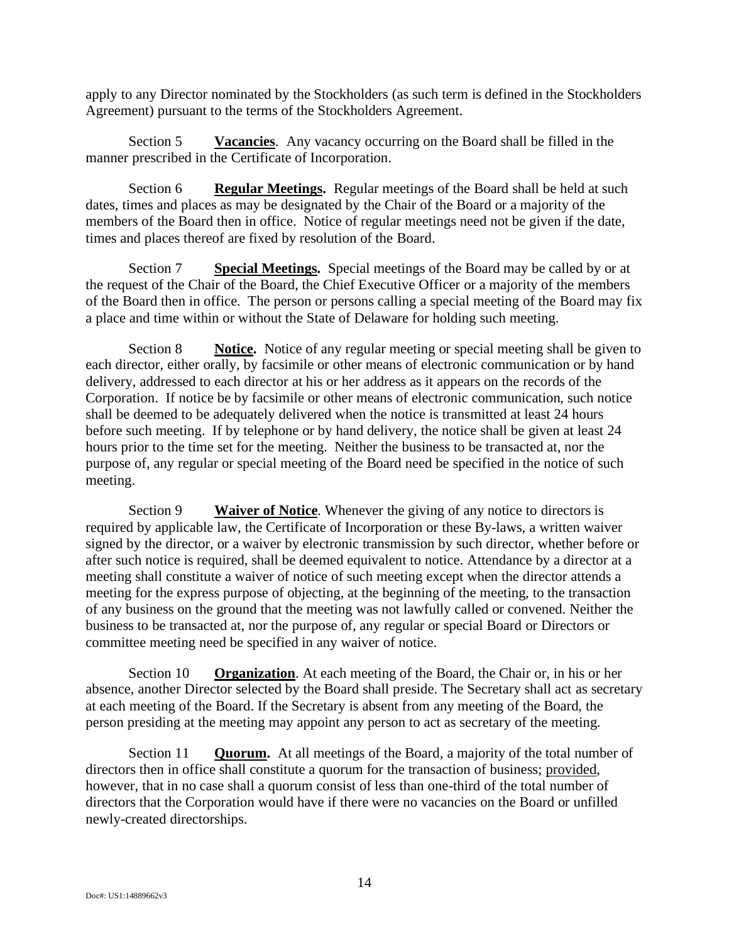apply to any Director nominated by the Stockholders (as such term is defined in the Stockholders Agreement) pursuant to the terms of the Stockholders Agreement.

Section 5 **Vacancies**. Any vacancy occurring on the Board shall be filled in the manner prescribed in the Certificate of Incorporation.

Section 6 **Regular Meetings.** Regular meetings of the Board shall be held at such dates, times and places as may be designated by the Chair of the Board or a majority of the members of the Board then in office. Notice of regular meetings need not be given if the date, times and places thereof are fixed by resolution of the Board.

Section 7 **Special Meetings.** Special meetings of the Board may be called by or at the request of the Chair of the Board, the Chief Executive Officer or a majority of the members of the Board then in office. The person or persons calling a special meeting of the Board may fix a place and time within or without the State of Delaware for holding such meeting.

Section 8 **Notice.** Notice of any regular meeting or special meeting shall be given to each director, either orally, by facsimile or other means of electronic communication or by hand delivery, addressed to each director at his or her address as it appears on the records of the Corporation. If notice be by facsimile or other means of electronic communication, such notice shall be deemed to be adequately delivered when the notice is transmitted at least 24 hours before such meeting. If by telephone or by hand delivery, the notice shall be given at least 24 hours prior to the time set for the meeting. Neither the business to be transacted at, nor the purpose of, any regular or special meeting of the Board need be specified in the notice of such meeting.

Section 9 **Waiver of Notice**. Whenever the giving of any notice to directors is required by applicable law, the Certificate of Incorporation or these By-laws, a written waiver signed by the director, or a waiver by electronic transmission by such director, whether before or after such notice is required, shall be deemed equivalent to notice. Attendance by a director at a meeting shall constitute a waiver of notice of such meeting except when the director attends a meeting for the express purpose of objecting, at the beginning of the meeting, to the transaction of any business on the ground that the meeting was not lawfully called or convened. Neither the business to be transacted at, nor the purpose of, any regular or special Board or Directors or committee meeting need be specified in any waiver of notice.

Section 10 **Organization**. At each meeting of the Board, the Chair or, in his or her absence, another Director selected by the Board shall preside. The Secretary shall act as secretary at each meeting of the Board. If the Secretary is absent from any meeting of the Board, the person presiding at the meeting may appoint any person to act as secretary of the meeting.

Section 11 **Quorum.** At all meetings of the Board, a majority of the total number of directors then in office shall constitute a quorum for the transaction of business; provided, however, that in no case shall a quorum consist of less than one-third of the total number of directors that the Corporation would have if there were no vacancies on the Board or unfilled newly-created directorships.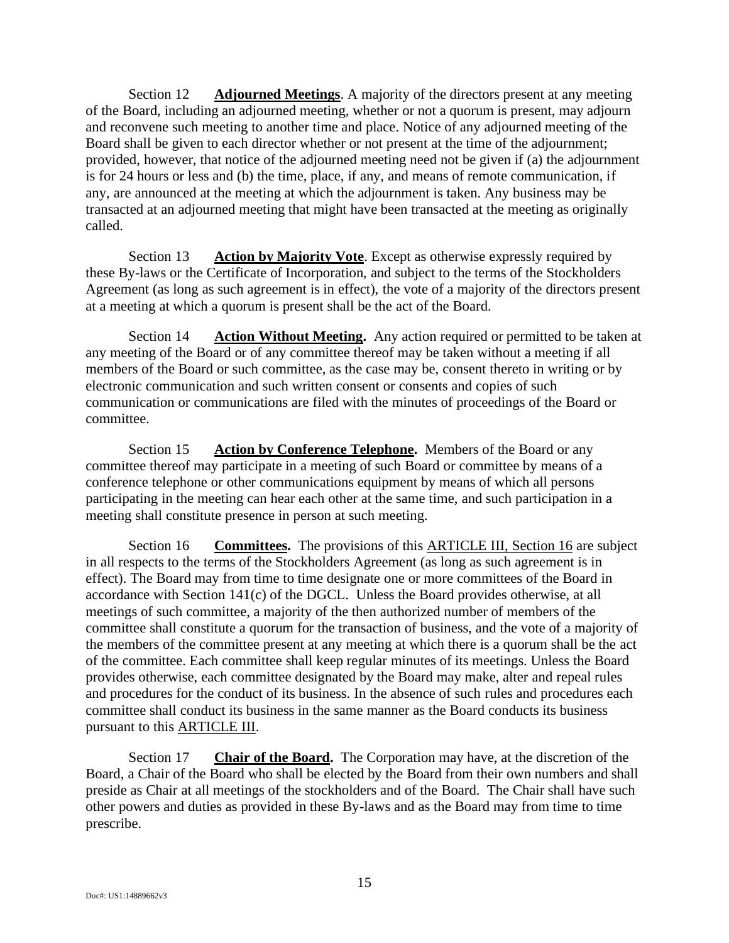Section 12 **Adjourned Meetings**. A majority of the directors present at any meeting of the Board, including an adjourned meeting, whether or not a quorum is present, may adjourn and reconvene such meeting to another time and place. Notice of any adjourned meeting of the Board shall be given to each director whether or not present at the time of the adjournment; provided, however, that notice of the adjourned meeting need not be given if (a) the adjournment is for 24 hours or less and (b) the time, place, if any, and means of remote communication, if any, are announced at the meeting at which the adjournment is taken. Any business may be transacted at an adjourned meeting that might have been transacted at the meeting as originally called.

Section 13 **Action by Majority Vote**. Except as otherwise expressly required by these By-laws or the Certificate of Incorporation, and subject to the terms of the Stockholders Agreement (as long as such agreement is in effect), the vote of a majority of the directors present at a meeting at which a quorum is present shall be the act of the Board.

Section 14 **Action Without Meeting.** Any action required or permitted to be taken at any meeting of the Board or of any committee thereof may be taken without a meeting if all members of the Board or such committee, as the case may be, consent thereto in writing or by electronic communication and such written consent or consents and copies of such communication or communications are filed with the minutes of proceedings of the Board or committee.

Section 15 **Action by Conference Telephone.** Members of the Board or any committee thereof may participate in a meeting of such Board or committee by means of a conference telephone or other communications equipment by means of which all persons participating in the meeting can hear each other at the same time, and such participation in a meeting shall constitute presence in person at such meeting.

<span id="page-14-0"></span>Section 16 **Committees.** The provisions of this [ARTICLE III,](#page-8-0) [Section 16](#page-14-0) are subject in all respects to the terms of the Stockholders Agreement (as long as such agreement is in effect). The Board may from time to time designate one or more committees of the Board in accordance with Section 141(c) of the DGCL. Unless the Board provides otherwise, at all meetings of such committee, a majority of the then authorized number of members of the committee shall constitute a quorum for the transaction of business, and the vote of a majority of the members of the committee present at any meeting at which there is a quorum shall be the act of the committee. Each committee shall keep regular minutes of its meetings. Unless the Board provides otherwise, each committee designated by the Board may make, alter and repeal rules and procedures for the conduct of its business. In the absence of such rules and procedures each committee shall conduct its business in the same manner as the Board conducts its business pursuant to this ARTICLE III.

Section 17 **Chair of the Board.** The Corporation may have, at the discretion of the Board, a Chair of the Board who shall be elected by the Board from their own numbers and shall preside as Chair at all meetings of the stockholders and of the Board. The Chair shall have such other powers and duties as provided in these By-laws and as the Board may from time to time prescribe.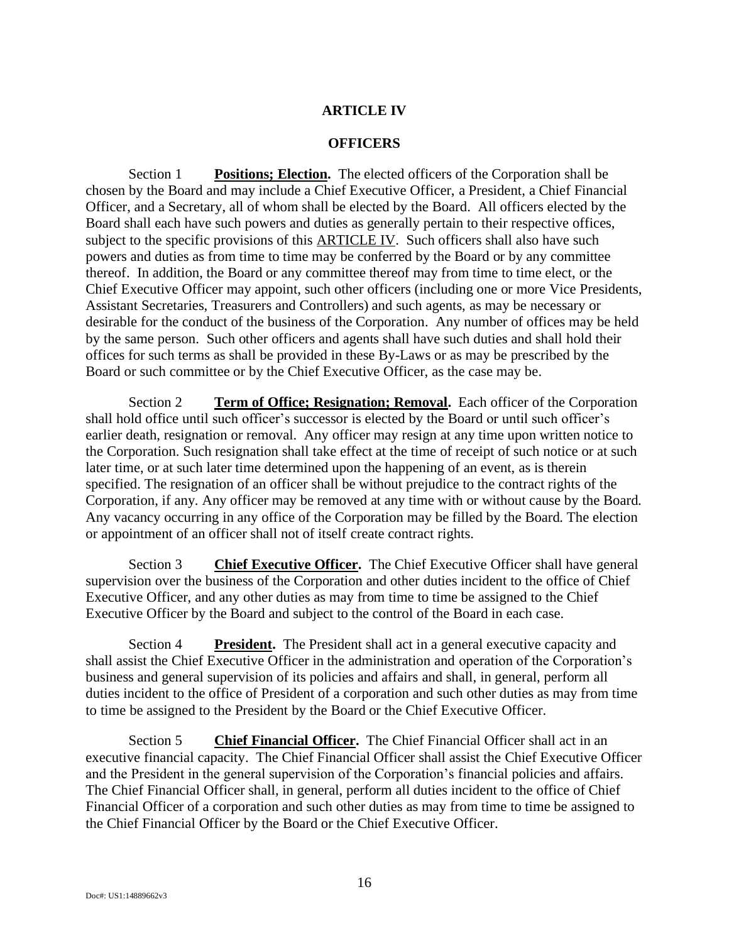# **ARTICLE IV**

### **OFFICERS**

Section 1 **Positions; Election.** The elected officers of the Corporation shall be chosen by the Board and may include a Chief Executive Officer, a President, a Chief Financial Officer, and a Secretary, all of whom shall be elected by the Board. All officers elected by the Board shall each have such powers and duties as generally pertain to their respective offices, subject to the specific provisions of this **ARTICLE IV**. Such officers shall also have such powers and duties as from time to time may be conferred by the Board or by any committee thereof. In addition, the Board or any committee thereof may from time to time elect, or the Chief Executive Officer may appoint, such other officers (including one or more Vice Presidents, Assistant Secretaries, Treasurers and Controllers) and such agents, as may be necessary or desirable for the conduct of the business of the Corporation. Any number of offices may be held by the same person. Such other officers and agents shall have such duties and shall hold their offices for such terms as shall be provided in these By-Laws or as may be prescribed by the Board or such committee or by the Chief Executive Officer, as the case may be.

Section 2 **Term of Office; Resignation; Removal.** Each officer of the Corporation shall hold office until such officer's successor is elected by the Board or until such officer's earlier death, resignation or removal. Any officer may resign at any time upon written notice to the Corporation. Such resignation shall take effect at the time of receipt of such notice or at such later time, or at such later time determined upon the happening of an event, as is therein specified. The resignation of an officer shall be without prejudice to the contract rights of the Corporation, if any. Any officer may be removed at any time with or without cause by the Board. Any vacancy occurring in any office of the Corporation may be filled by the Board. The election or appointment of an officer shall not of itself create contract rights.

Section 3 **Chief Executive Officer.** The Chief Executive Officer shall have general supervision over the business of the Corporation and other duties incident to the office of Chief Executive Officer, and any other duties as may from time to time be assigned to the Chief Executive Officer by the Board and subject to the control of the Board in each case.

Section 4 **President.** The President shall act in a general executive capacity and shall assist the Chief Executive Officer in the administration and operation of the Corporation's business and general supervision of its policies and affairs and shall, in general, perform all duties incident to the office of President of a corporation and such other duties as may from time to time be assigned to the President by the Board or the Chief Executive Officer.

Section 5 **Chief Financial Officer.** The Chief Financial Officer shall act in an executive financial capacity. The Chief Financial Officer shall assist the Chief Executive Officer and the President in the general supervision of the Corporation's financial policies and affairs. The Chief Financial Officer shall, in general, perform all duties incident to the office of Chief Financial Officer of a corporation and such other duties as may from time to time be assigned to the Chief Financial Officer by the Board or the Chief Executive Officer.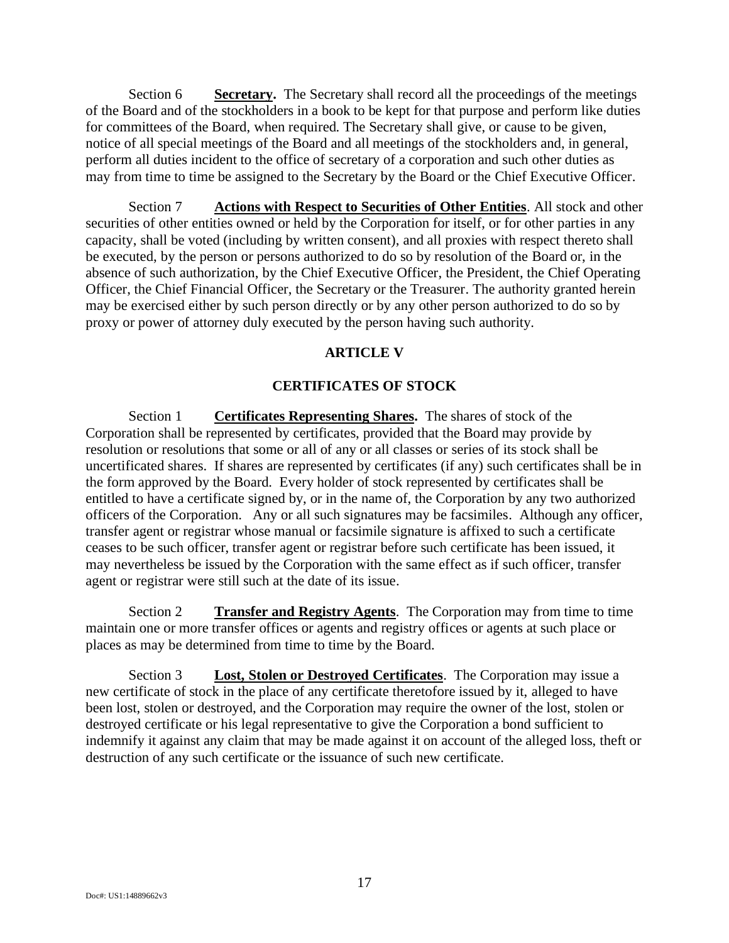Section 6 **Secretary.** The Secretary shall record all the proceedings of the meetings of the Board and of the stockholders in a book to be kept for that purpose and perform like duties for committees of the Board, when required. The Secretary shall give, or cause to be given, notice of all special meetings of the Board and all meetings of the stockholders and, in general, perform all duties incident to the office of secretary of a corporation and such other duties as may from time to time be assigned to the Secretary by the Board or the Chief Executive Officer.

Section 7 **Actions with Respect to Securities of Other Entities**. All stock and other securities of other entities owned or held by the Corporation for itself, or for other parties in any capacity, shall be voted (including by written consent), and all proxies with respect thereto shall be executed, by the person or persons authorized to do so by resolution of the Board or, in the absence of such authorization, by the Chief Executive Officer, the President, the Chief Operating Officer, the Chief Financial Officer, the Secretary or the Treasurer. The authority granted herein may be exercised either by such person directly or by any other person authorized to do so by proxy or power of attorney duly executed by the person having such authority.

### **ARTICLE V**

#### **CERTIFICATES OF STOCK**

Section 1 **Certificates Representing Shares.** The shares of stock of the Corporation shall be represented by certificates, provided that the Board may provide by resolution or resolutions that some or all of any or all classes or series of its stock shall be uncertificated shares. If shares are represented by certificates (if any) such certificates shall be in the form approved by the Board. Every holder of stock represented by certificates shall be entitled to have a certificate signed by, or in the name of, the Corporation by any two authorized officers of the Corporation. Any or all such signatures may be facsimiles. Although any officer, transfer agent or registrar whose manual or facsimile signature is affixed to such a certificate ceases to be such officer, transfer agent or registrar before such certificate has been issued, it may nevertheless be issued by the Corporation with the same effect as if such officer, transfer agent or registrar were still such at the date of its issue.

Section 2 **Transfer and Registry Agents**. The Corporation may from time to time maintain one or more transfer offices or agents and registry offices or agents at such place or places as may be determined from time to time by the Board.

Section 3 **Lost, Stolen or Destroyed Certificates**. The Corporation may issue a new certificate of stock in the place of any certificate theretofore issued by it, alleged to have been lost, stolen or destroyed, and the Corporation may require the owner of the lost, stolen or destroyed certificate or his legal representative to give the Corporation a bond sufficient to indemnify it against any claim that may be made against it on account of the alleged loss, theft or destruction of any such certificate or the issuance of such new certificate.